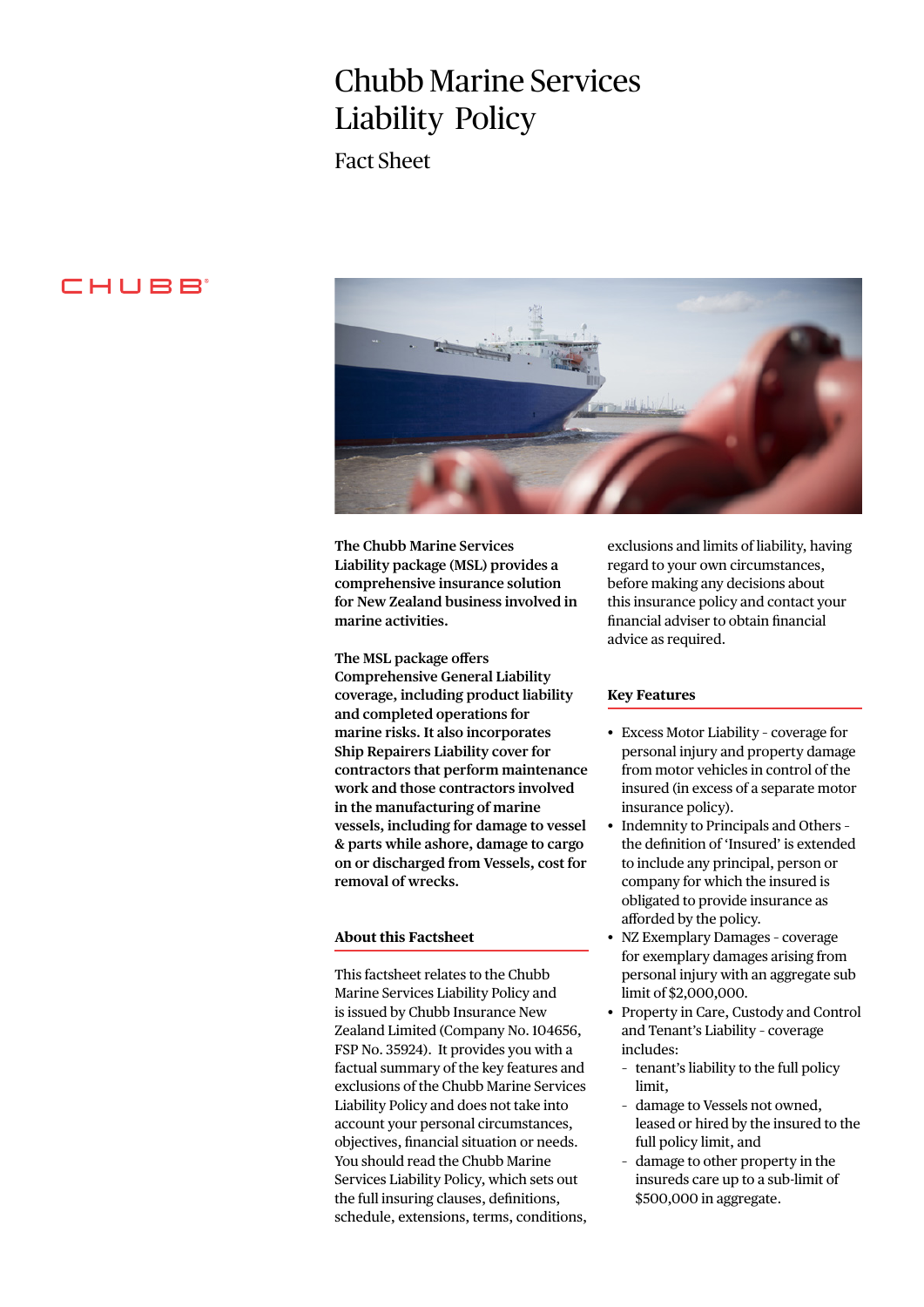# Chubb Marine Services Liability Policy

Fact Sheet

# **CHUBB**



**The Chubb Marine Services Liability package (MSL) provides a comprehensive insurance solution for New Zealand business involved in marine activities.**

**The MSL package offers Comprehensive General Liability coverage, including product liability and completed operations for marine risks. It also incorporates Ship Repairers Liability cover for contractors that perform maintenance work and those contractors involved in the manufacturing of marine vessels, including for damage to vessel & parts while ashore, damage to cargo on or discharged from Vessels, cost for removal of wrecks.**

## **About this Factsheet**

This factsheet relates to the Chubb Marine Services Liability Policy and is issued by Chubb Insurance New Zealand Limited (Company No. 104656, FSP No. 35924). It provides you with a factual summary of the key features and exclusions of the Chubb Marine Services Liability Policy and does not take into account your personal circumstances, objectives, financial situation or needs. You should read the Chubb Marine Services Liability Policy, which sets out the full insuring clauses, definitions, schedule, extensions, terms, conditions, exclusions and limits of liability, having regard to your own circumstances, before making any decisions about this insurance policy and contact your financial adviser to obtain financial advice as required.

## **Key Features**

- Excess Motor Liability coverage for personal injury and property damage from motor vehicles in control of the insured (in excess of a separate motor insurance policy).
- Indemnity to Principals and Others the definition of 'Insured' is extended to include any principal, person or company for which the insured is obligated to provide insurance as afforded by the policy.
- NZ Exemplary Damages coverage for exemplary damages arising from personal injury with an aggregate sub limit of \$2,000,000.
- Property in Care, Custody and Control and Tenant's Liability – coverage includes:
	- tenant's liability to the full policy limit,
	- damage to Vessels not owned, leased or hired by the insured to the full policy limit, and
	- damage to other property in the insureds care up to a sub-limit of \$500,000 in aggregate.